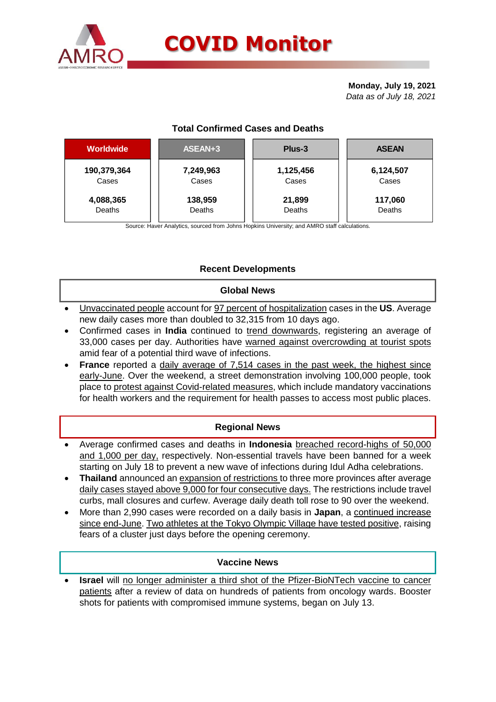

# **COVID Monitor**

**Monday, July 19, 2021** *Data as of July 18, 2021*

# **Total Confirmed Cases and Deaths**

| Worldwide   | ASEAN+3   | Plus-3    | <b>ASEAN</b> |  |  |
|-------------|-----------|-----------|--------------|--|--|
| 190,379,364 | 7,249,963 | 1,125,456 | 6,124,507    |  |  |
| Cases       | Cases     | Cases     | Cases        |  |  |
| 4,088,365   | 138,959   | 21,899    | 117,060      |  |  |
| Deaths      | Deaths    | Deaths    | Deaths       |  |  |

Source: Haver Analytics, sourced from Johns Hopkins University; and AMRO staff calculations.

# **Recent Developments**

### **Global News**

- Unvaccinated people account for 97 percent of hospitalization cases in the **US**. Average new daily cases more than doubled to 32,315 from 10 days ago.
- Confirmed cases in **India** continued to trend downwards, registering an average of 33,000 cases per day. Authorities have warned against overcrowding at tourist spots amid fear of a potential third wave of infections.
- **France** reported a daily average of 7,514 cases in the past week, the highest since early-June. Over the weekend, a street demonstration involving 100,000 people, took place to protest against Covid-related measures, which include mandatory vaccinations for health workers and the requirement for health passes to access most public places.

# **Regional News**

- Average confirmed cases and deaths in **Indonesia** breached record-highs of 50,000 and 1,000 per day, respectively. Non-essential travels have been banned for a week starting on July 18 to prevent a new wave of infections during Idul Adha celebrations.
- **Thailand** announced an expansion of restrictions to three more provinces after average daily cases stayed above 9,000 for four consecutive days. The restrictions include travel curbs, mall closures and curfew. Average daily death toll rose to 90 over the weekend.
- More than 2,990 cases were recorded on a daily basis in **Japan**, a continued increase since end-June. Two athletes at the Tokyo Olympic Village have tested positive, raising fears of a cluster just days before the opening ceremony.

### **Vaccine News**

 **Israel** will no longer administer a third shot of the Pfizer-BioNTech vaccine to cancer patients after a review of data on hundreds of patients from oncology wards. Booster shots for patients with compromised immune systems, began on July 13.